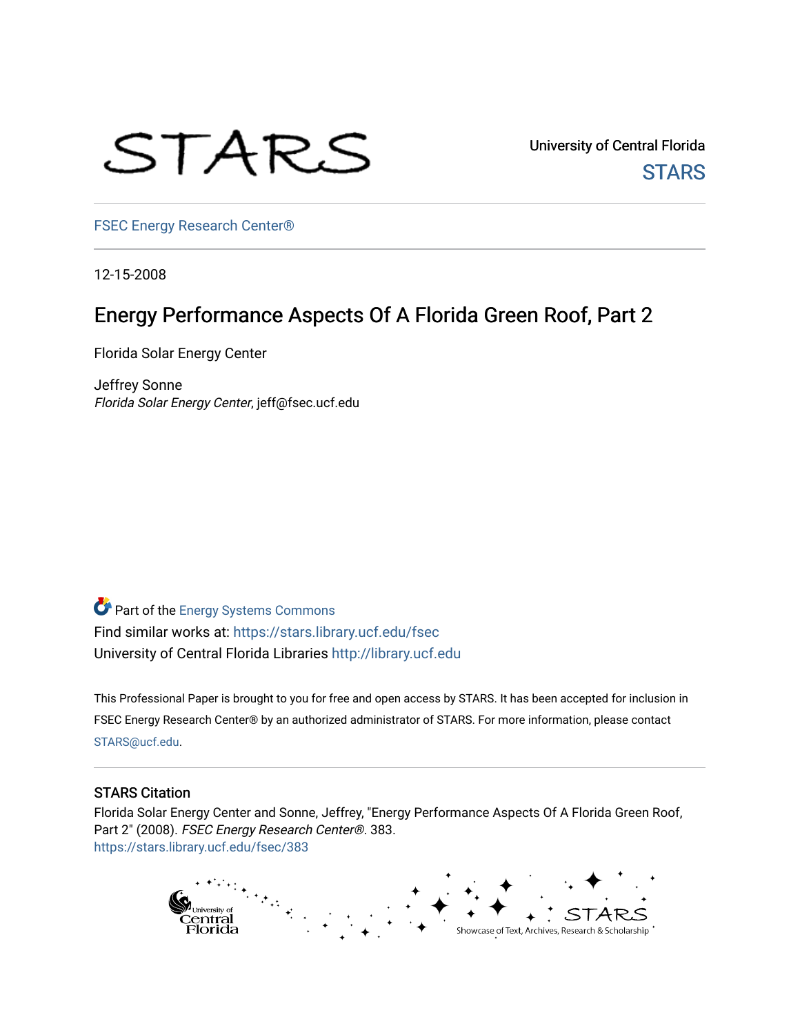

University of Central Florida **STARS** 

[FSEC Energy Research Center®](https://stars.library.ucf.edu/fsec) 

12-15-2008

# Energy Performance Aspects Of A Florida Green Roof, Part 2

Florida Solar Energy Center

Jeffrey Sonne Florida Solar Energy Center, jeff@fsec.ucf.edu

Part of the [Energy Systems Commons](http://network.bepress.com/hgg/discipline/299?utm_source=stars.library.ucf.edu%2Ffsec%2F383&utm_medium=PDF&utm_campaign=PDFCoverPages)  Find similar works at: <https://stars.library.ucf.edu/fsec> University of Central Florida Libraries [http://library.ucf.edu](http://library.ucf.edu/) 

This Professional Paper is brought to you for free and open access by STARS. It has been accepted for inclusion in FSEC Energy Research Center® by an authorized administrator of STARS. For more information, please contact [STARS@ucf.edu](mailto:STARS@ucf.edu).

#### STARS Citation

Florida Solar Energy Center and Sonne, Jeffrey, "Energy Performance Aspects Of A Florida Green Roof, Part 2" (2008). FSEC Energy Research Center®. 383. [https://stars.library.ucf.edu/fsec/383](https://stars.library.ucf.edu/fsec/383?utm_source=stars.library.ucf.edu%2Ffsec%2F383&utm_medium=PDF&utm_campaign=PDFCoverPages)

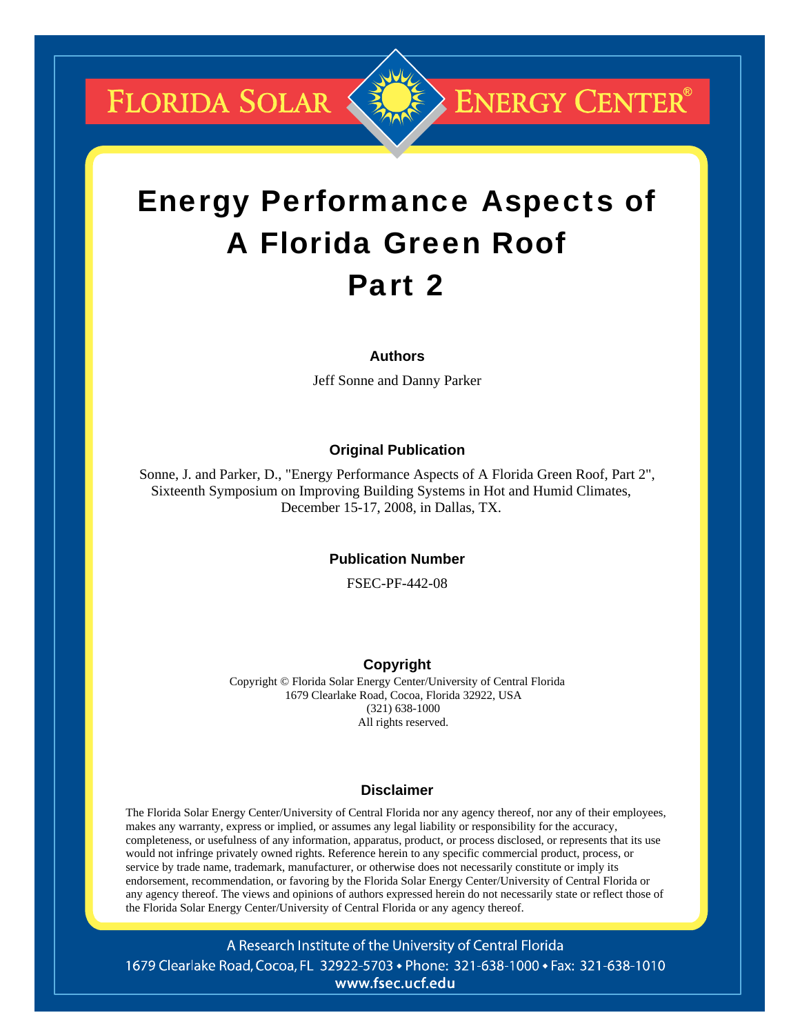**FLORIDA SOLAR &** 



**ENERGY CENTER®** 

# Energy Performance Aspects of A Florida Green Roof Part 2

#### **Authors**

Jeff Sonne and Danny Parker

#### **Original Publication**

Sonne, J. and Parker, D., "Energy Performance Aspects of A Florida Green Roof, Part 2", Sixteenth Symposium on Improving Building Systems in Hot and Humid Climates, December 15-17, 2008, in Dallas, TX.

#### **Publication Number**

FSEC-PF-442-08

#### **Copyright**

Copyright © Florida Solar Energy Center/University of Central Florida 1679 Clearlake Road, Cocoa, Florida 32922, USA (321) 638-1000 All rights reserved.

#### **Disclaimer**

The Florida Solar Energy Center/University of Central Florida nor any agency thereof, nor any of their employees, makes any warranty, express or implied, or assumes any legal liability or responsibility for the accuracy, completeness, or usefulness of any information, apparatus, product, or process disclosed, or represents that its use would not infringe privately owned rights. Reference herein to any specific commercial product, process, or service by trade name, trademark, manufacturer, or otherwise does not necessarily constitute or imply its endorsement, recommendation, or favoring by the Florida Solar Energy Center/University of Central Florida or any agency thereof. The views and opinions of authors expressed herein do not necessarily state or reflect those of the Florida Solar Energy Center/University of Central Florida or any agency thereof.

A Research Institute of the University of Central Florida 1679 Clearlake Road, Cocoa, FL 32922-5703 • Phone: 321-638-1000 • Fax: 321-638-1010 www.fsec.ucf.edu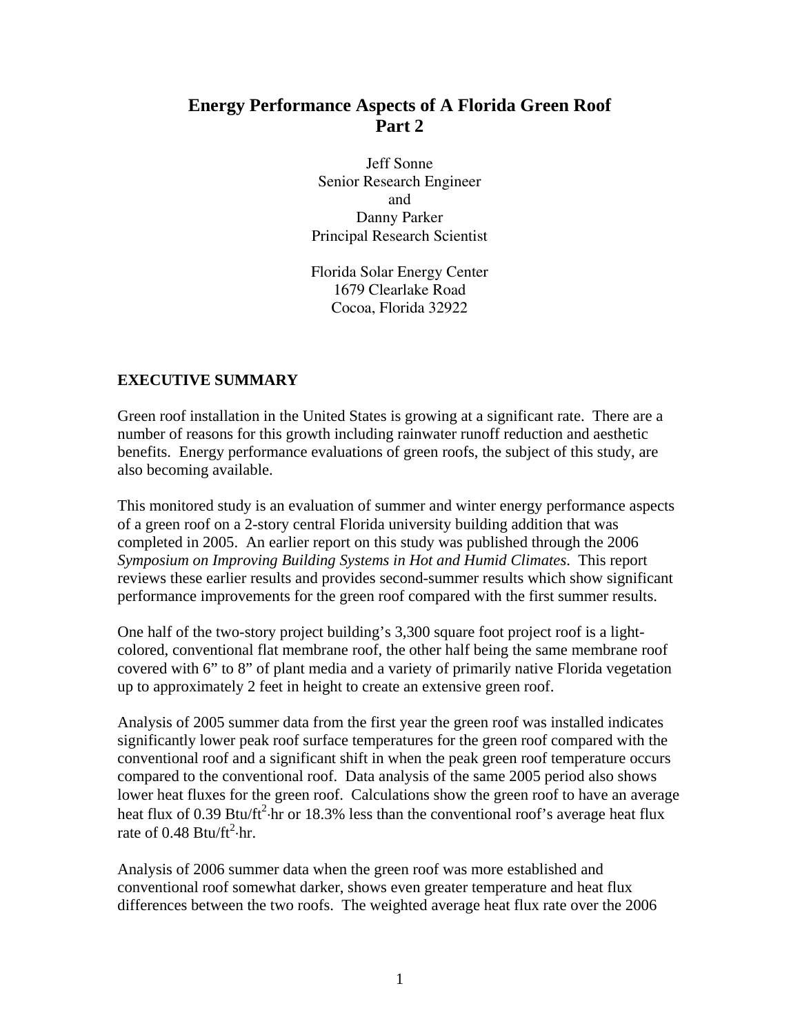## **Energy Performance Aspects of A Florida Green Roof Part 2**

Jeff Sonne Senior Research Engineer and Danny Parker Principal Research Scientist

Florida Solar Energy Center 1679 Clearlake Road Cocoa, Florida 32922

## **EXECUTIVE SUMMARY**

Green roof installation in the United States is growing at a significant rate. There are a number of reasons for this growth including rainwater runoff reduction and aesthetic benefits. Energy performance evaluations of green roofs, the subject of this study, are also becoming available.

This monitored study is an evaluation of summer and winter energy performance aspects of a green roof on a 2-story central Florida university building addition that was completed in 2005. An earlier report on this study was published through the 2006 *Symposium on Improving Building Systems in Hot and Humid Climates*. This report reviews these earlier results and provides second-summer results which show significant performance improvements for the green roof compared with the first summer results.

One half of the two-story project building's 3,300 square foot project roof is a lightcolored, conventional flat membrane roof, the other half being the same membrane roof covered with 6" to 8" of plant media and a variety of primarily native Florida vegetation up to approximately 2 feet in height to create an extensive green roof.

Analysis of 2005 summer data from the first year the green roof was installed indicates significantly lower peak roof surface temperatures for the green roof compared with the conventional roof and a significant shift in when the peak green roof temperature occurs compared to the conventional roof. Data analysis of the same 2005 period also shows lower heat fluxes for the green roof. Calculations show the green roof to have an average heat flux of 0.39 Btu/ft<sup>2</sup> $\cdot$ hr or 18.3% less than the conventional roof's average heat flux rate of 0.48 Btu/ft<sup>2</sup> $\cdot$ hr.

Analysis of 2006 summer data when the green roof was more established and conventional roof somewhat darker, shows even greater temperature and heat flux differences between the two roofs. The weighted average heat flux rate over the 2006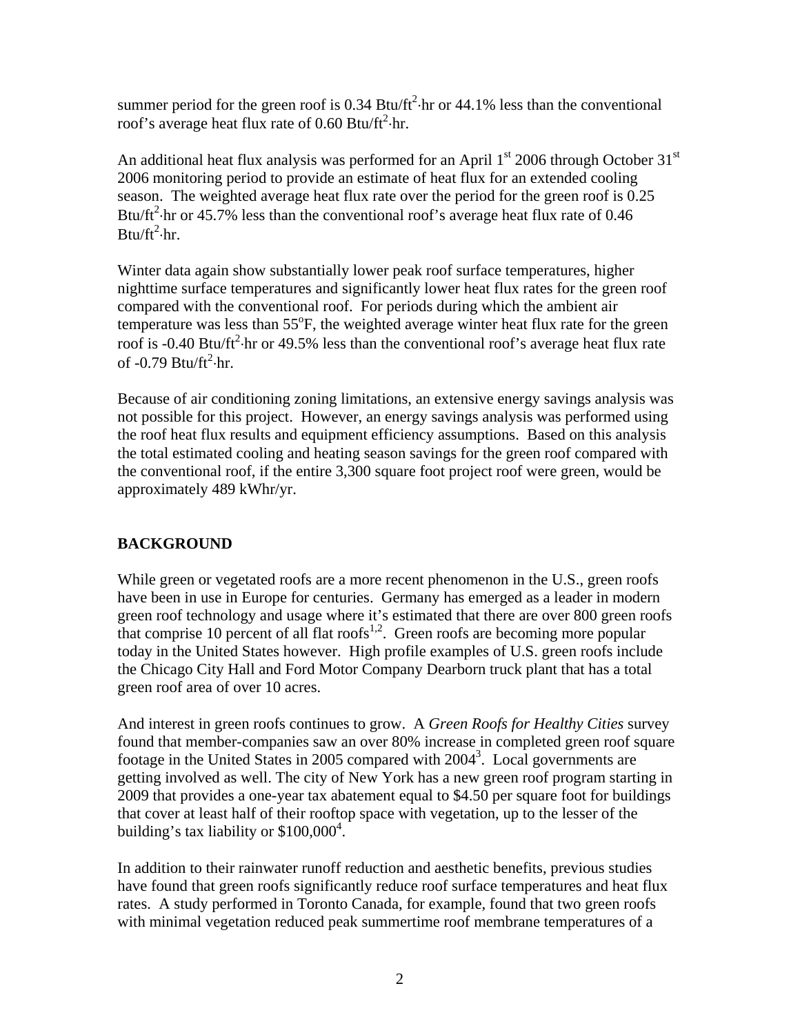summer period for the green roof is  $0.34 \text{ Btu/ft}^2$  hr or  $44.1\%$  less than the conventional roof's average heat flux rate of  $0.60$  Btu/ft<sup>2</sup>·hr.

An additional heat flux analysis was performed for an April  $1<sup>st</sup>$  2006 through October 31<sup>st</sup> 2006 monitoring period to provide an estimate of heat flux for an extended cooling season. The weighted average heat flux rate over the period for the green roof is 0.25 Btu/ $\text{ft}^2$  hr or 45.7% less than the conventional roof's average heat flux rate of 0.46  $B$ tu/ft<sup>2</sup>·hr.

Winter data again show substantially lower peak roof surface temperatures, higher nighttime surface temperatures and significantly lower heat flux rates for the green roof compared with the conventional roof. For periods during which the ambient air temperature was less than 55°F, the weighted average winter heat flux rate for the green roof is -0.40 Btu/ft<sup>2</sup> $\cdot$ hr or 49.5% less than the conventional roof's average heat flux rate of -0.79 Btu/ft<sup>2</sup>·hr.

Because of air conditioning zoning limitations, an extensive energy savings analysis was not possible for this project. However, an energy savings analysis was performed using the roof heat flux results and equipment efficiency assumptions. Based on this analysis the total estimated cooling and heating season savings for the green roof compared with the conventional roof, if the entire 3,300 square foot project roof were green, would be approximately 489 kWhr/yr.

### **BACKGROUND**

While green or vegetated roofs are a more recent phenomenon in the U.S., green roofs have been in use in Europe for centuries. Germany has emerged as a leader in modern green roof technology and usage where it's estimated that there are over 800 green roofs that comprise 10 percent of all flat roofs<sup>1,2</sup>. Green roofs are becoming more popular today in the United States however. High profile examples of U.S. green roofs include the Chicago City Hall and Ford Motor Company Dearborn truck plant that has a total green roof area of over 10 acres.

And interest in green roofs continues to grow. A *Green Roofs for Healthy Cities* survey found that member-companies saw an over 80% increase in completed green roof square footage in the United States in 2005 compared with 2004<sup>3</sup>. Local governments are getting involved as well. The city of New York has a new green roof program starting in 2009 that provides a one-year tax abatement equal to \$4.50 per square foot for buildings that cover at least half of their rooftop space with vegetation, up to the lesser of the building's tax liability or  $$100,000<sup>4</sup>$ .

In addition to their rainwater runoff reduction and aesthetic benefits, previous studies have found that green roofs significantly reduce roof surface temperatures and heat flux rates. A study performed in Toronto Canada, for example, found that two green roofs with minimal vegetation reduced peak summertime roof membrane temperatures of a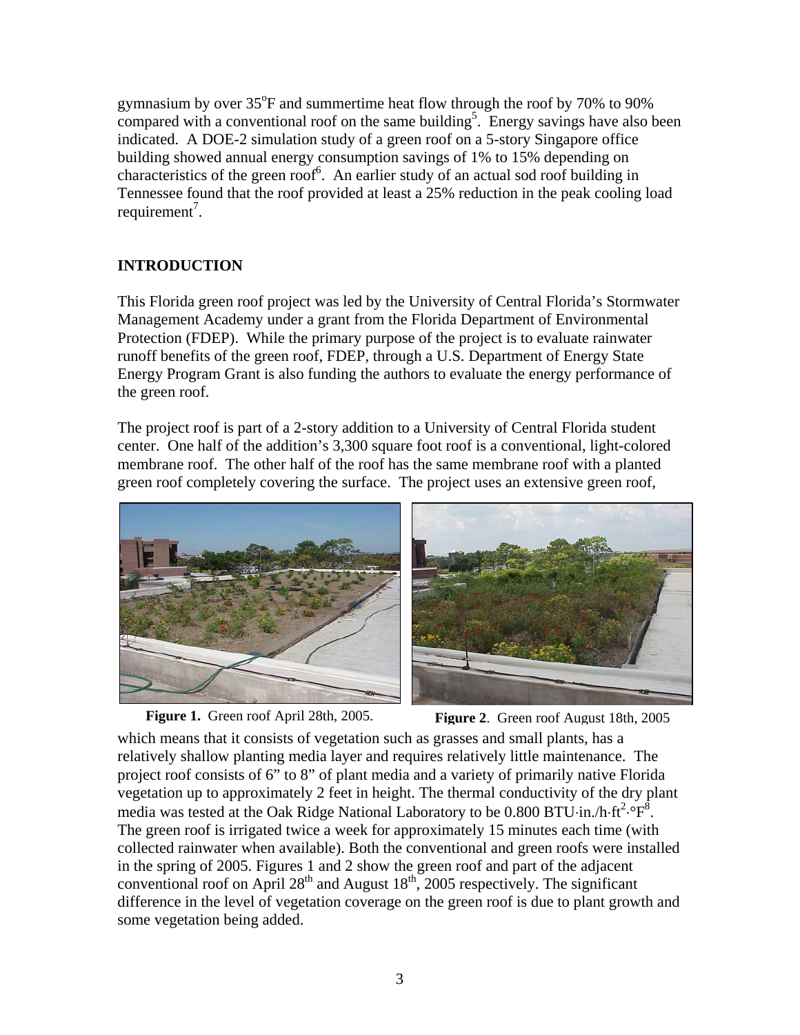gymnasium by over  $35^{\circ}$ F and summertime heat flow through the roof by 70% to 90% compared with a conventional roof on the same building<sup>5</sup>. Energy savings have also been indicated. A DOE-2 simulation study of a green roof on a 5-story Singapore office building showed annual energy consumption savings of 1% to 15% depending on characteristics of the green roof<sup>6</sup>. An earlier study of an actual sod roof building in Tennessee found that the roof provided at least a 25% reduction in the peak cooling load requirement<sup>7</sup>.

## **INTRODUCTION**

This Florida green roof project was led by the University of Central Florida's Stormwater Management Academy under a grant from the Florida Department of Environmental Protection (FDEP). While the primary purpose of the project is to evaluate rainwater runoff benefits of the green roof, FDEP, through a U.S. Department of Energy State Energy Program Grant is also funding the authors to evaluate the energy performance of the green roof.

The project roof is part of a 2-story addition to a University of Central Florida student center. One half of the addition's 3,300 square foot roof is a conventional, light-colored membrane roof. The other half of the roof has the same membrane roof with a planted green roof completely covering the surface. The project uses an extensive green roof,



**Figure 1.** Green roof April 28th, 2005. **Figure 2**. Green roof August 18th, 2005





which means that it consists of vegetation such as grasses and small plants, has a relatively shallow planting media layer and requires relatively little maintenance. The project roof consists of 6" to 8" of plant media and a variety of primarily native Florida vegetation up to approximately 2 feet in height. The thermal conductivity of the dry plant media was tested at the Oak Ridge National Laboratory to be  $0.800$  BTU⋅in./h⋅ft<sup>2</sup>⋅°F<sup>8</sup>. The green roof is irrigated twice a week for approximately 15 minutes each time (with collected rainwater when available). Both the conventional and green roofs were installed in the spring of 2005. Figures 1 and 2 show the green roof and part of the adjacent conventional roof on April  $28<sup>th</sup>$  and August  $18<sup>th</sup>$ , 2005 respectively. The significant difference in the level of vegetation coverage on the green roof is due to plant growth and some vegetation being added.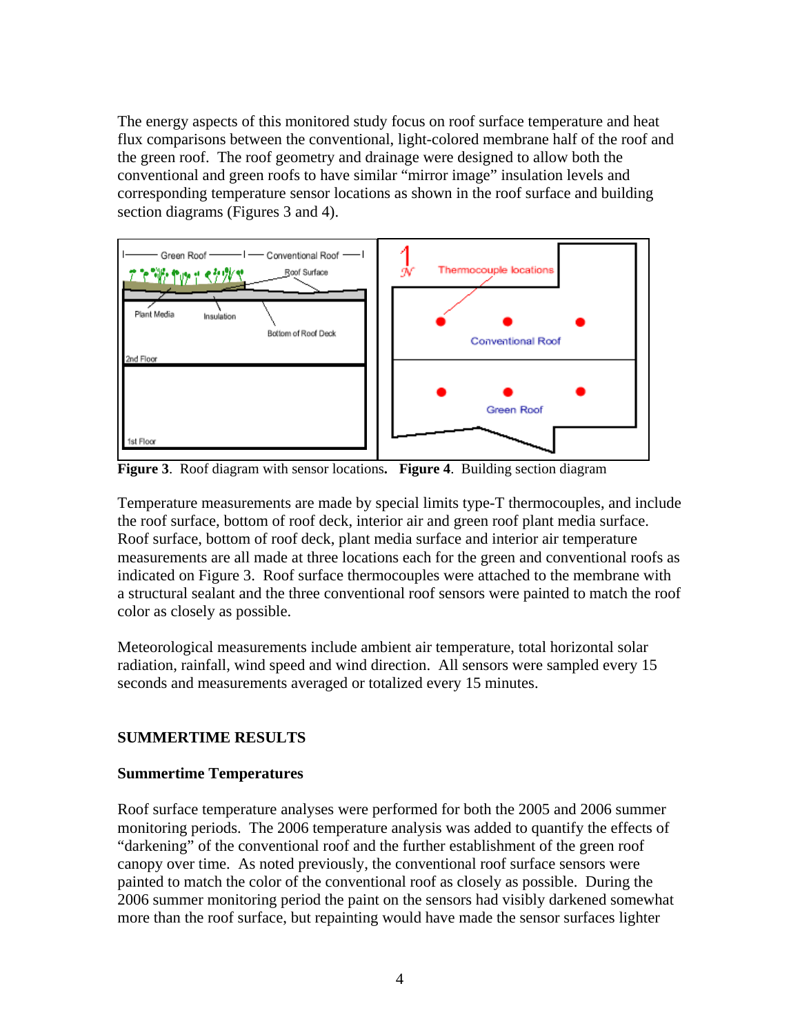The energy aspects of this monitored study focus on roof surface temperature and heat flux comparisons between the conventional, light-colored membrane half of the roof and the green roof. The roof geometry and drainage were designed to allow both the conventional and green roofs to have similar "mirror image" insulation levels and corresponding temperature sensor locations as shown in the roof surface and building section diagrams (Figures 3 and 4).



**Figure 3**.Roof diagram with sensor locations**. Figure 4**. Building section diagram

Temperature measurements are made by special limits type-T thermocouples, and include the roof surface, bottom of roof deck, interior air and green roof plant media surface. Roof surface, bottom of roof deck, plant media surface and interior air temperature measurements are all made at three locations each for the green and conventional roofs as indicated on Figure 3. Roof surface thermocouples were attached to the membrane with a structural sealant and the three conventional roof sensors were painted to match the roof color as closely as possible.

Meteorological measurements include ambient air temperature, total horizontal solar radiation, rainfall, wind speed and wind direction. All sensors were sampled every 15 seconds and measurements averaged or totalized every 15 minutes.

## **SUMMERTIME RESULTS**

### **Summertime Temperatures**

Roof surface temperature analyses were performed for both the 2005 and 2006 summer monitoring periods. The 2006 temperature analysis was added to quantify the effects of "darkening" of the conventional roof and the further establishment of the green roof canopy over time. As noted previously, the conventional roof surface sensors were painted to match the color of the conventional roof as closely as possible. During the 2006 summer monitoring period the paint on the sensors had visibly darkened somewhat more than the roof surface, but repainting would have made the sensor surfaces lighter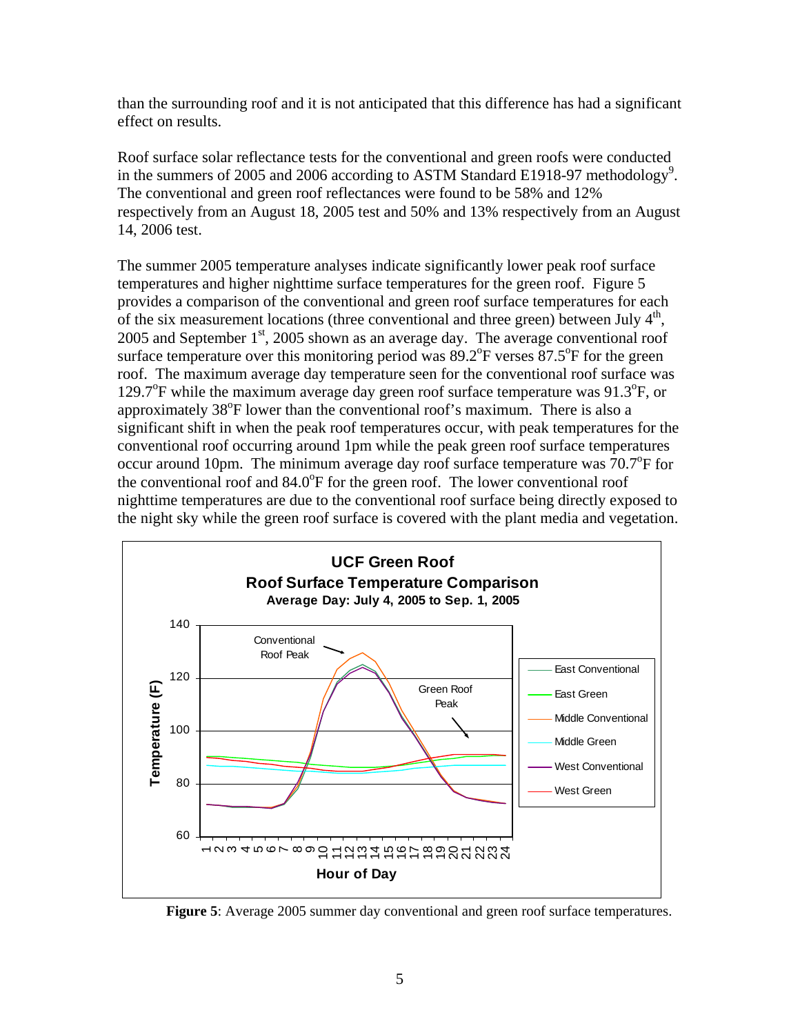than the surrounding roof and it is not anticipated that this difference has had a significant effect on results.

Roof surface solar reflectance tests for the conventional and green roofs were conducted in the summers of 2005 and 2006 according to ASTM Standard E1918-97 methodology<sup>9</sup>. The conventional and green roof reflectances were found to be 58% and 12% respectively from an August 18, 2005 test and 50% and 13% respectively from an August 14, 2006 test.

The summer 2005 temperature analyses indicate significantly lower peak roof surface temperatures and higher nighttime surface temperatures for the green roof. Figure 5 provides a comparison of the conventional and green roof surface temperatures for each of the six measurement locations (three conventional and three green) between July  $4<sup>th</sup>$ ,  $2005$  and September  $1<sup>st</sup>$ ,  $2005$  shown as an average day. The average conventional roof surface temperature over this monitoring period was  $89.2^{\circ}$ F verses  $87.5^{\circ}$ F for the green roof. The maximum average day temperature seen for the conventional roof surface was 129.7°F while the maximum average day green roof surface temperature was 91.3°F, or approximately 38<sup>°</sup>F lower than the conventional roof's maximum. There is also a significant shift in when the peak roof temperatures occur, with peak temperatures for the conventional roof occurring around 1pm while the peak green roof surface temperatures occur around 10pm. The minimum average day roof surface temperature was  $70.7^{\circ}$ F for the conventional roof and 84.0°F for the green roof. The lower conventional roof nighttime temperatures are due to the conventional roof surface being directly exposed to the night sky while the green roof surface is covered with the plant media and vegetation.



**Figure 5**: Average 2005 summer day conventional and green roof surface temperatures.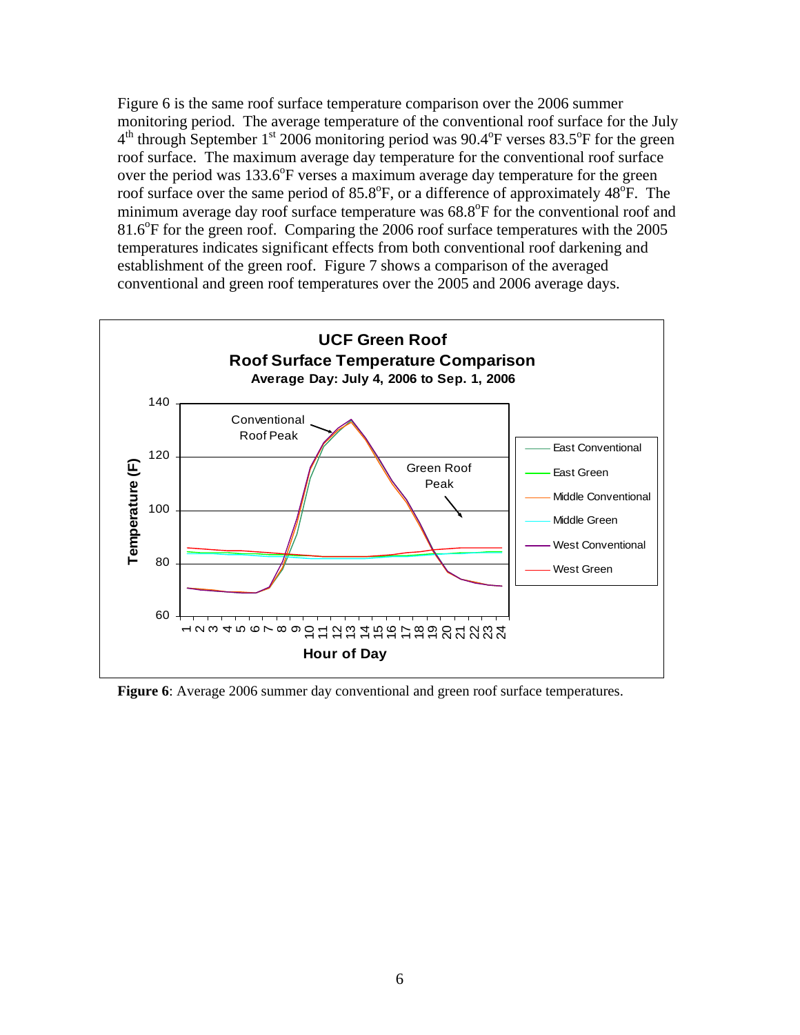Figure 6 is the same roof surface temperature comparison over the 2006 summer monitoring period. The average temperature of the conventional roof surface for the July  $4<sup>th</sup>$  through September 1<sup>st</sup> 2006 monitoring period was 90.4<sup>o</sup>F verses 83.5<sup>o</sup>F for the green roof surface. The maximum average day temperature for the conventional roof surface over the period was  $133.6^{\circ}$ F verses a maximum average day temperature for the green roof surface over the same period of  $85.8^{\circ}$ F, or a difference of approximately  $48^{\circ}$ F. The minimum average day roof surface temperature was 68.8°F for the conventional roof and 81.6<sup>o</sup>F for the green roof. Comparing the 2006 roof surface temperatures with the 2005 temperatures indicates significant effects from both conventional roof darkening and establishment of the green roof. Figure 7 shows a comparison of the averaged conventional and green roof temperatures over the 2005 and 2006 average days.



**Figure 6**: Average 2006 summer day conventional and green roof surface temperatures.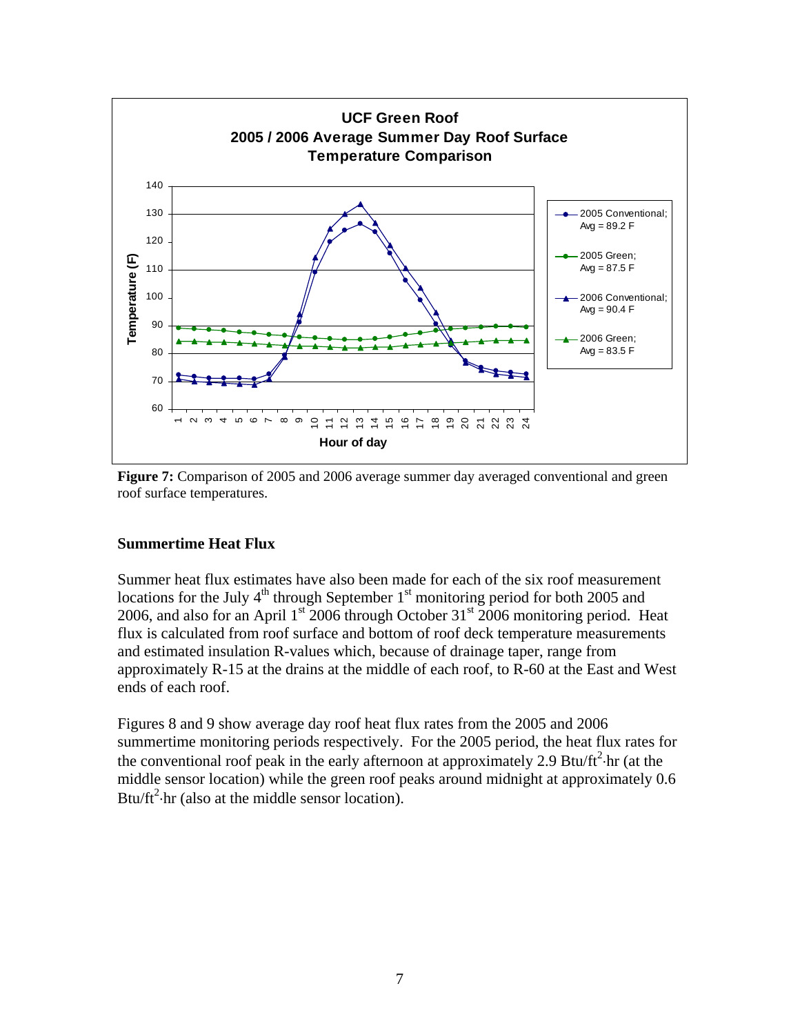

**Figure 7:** Comparison of 2005 and 2006 average summer day averaged conventional and green roof surface temperatures.

## **Summertime Heat Flux**

Summer heat flux estimates have also been made for each of the six roof measurement locations for the July  $4<sup>th</sup>$  through September 1<sup>st</sup> monitoring period for both 2005 and 2006, and also for an April  $1<sup>st</sup>$  2006 through October 31<sup>st</sup> 2006 monitoring period. Heat flux is calculated from roof surface and bottom of roof deck temperature measurements and estimated insulation R-values which, because of drainage taper, range from approximately R-15 at the drains at the middle of each roof, to R-60 at the East and West ends of each roof.

Figures 8 and 9 show average day roof heat flux rates from the 2005 and 2006 summertime monitoring periods respectively. For the 2005 period, the heat flux rates for the conventional roof peak in the early afternoon at approximately 2.9 Btu/ft<sup>2</sup> $\cdot$ hr (at the middle sensor location) while the green roof peaks around midnight at approximately 0.6 Btu/ft<sup>2</sup> $\cdot$ hr (also at the middle sensor location).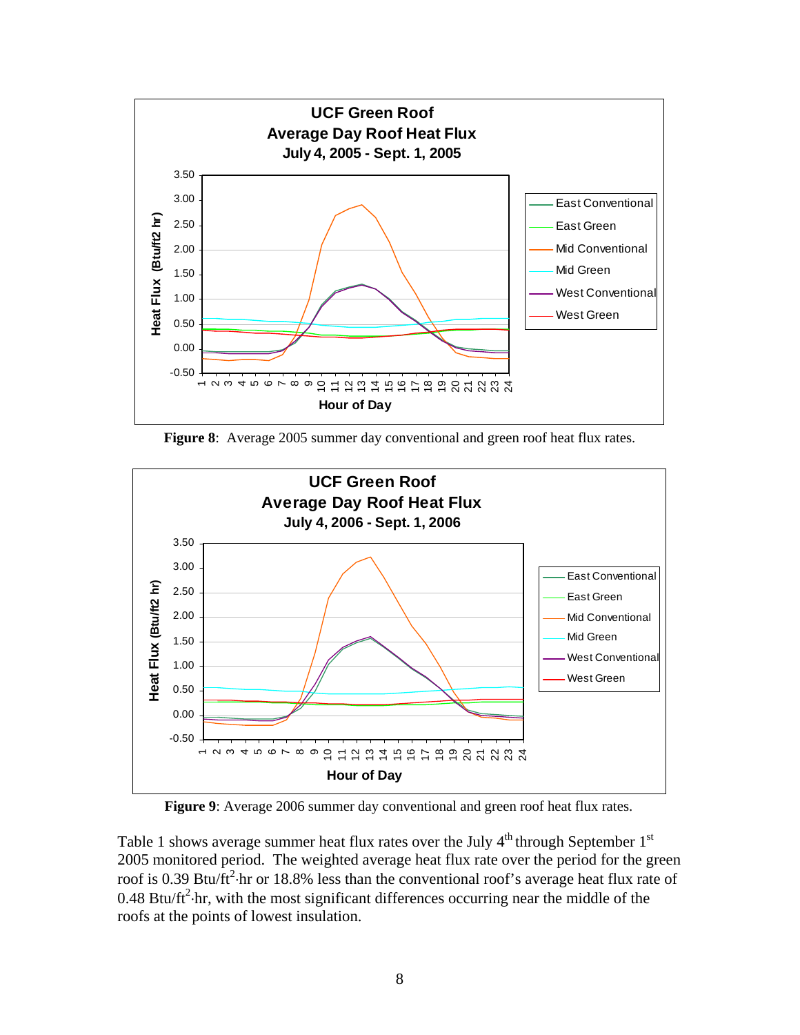

**Figure 8**: Average 2005 summer day conventional and green roof heat flux rates.



**Figure 9**: Average 2006 summer day conventional and green roof heat flux rates.

Table 1 shows average summer heat flux rates over the July  $4<sup>th</sup>$  through September  $1<sup>st</sup>$ 2005 monitored period. The weighted average heat flux rate over the period for the green roof is 0.39 Btu/ft<sup>2</sup> $\cdot$ hr or 18.8% less than the conventional roof's average heat flux rate of 0.48 Btu/ft<sup>2</sup> $\cdot$ hr, with the most significant differences occurring near the middle of the roofs at the points of lowest insulation.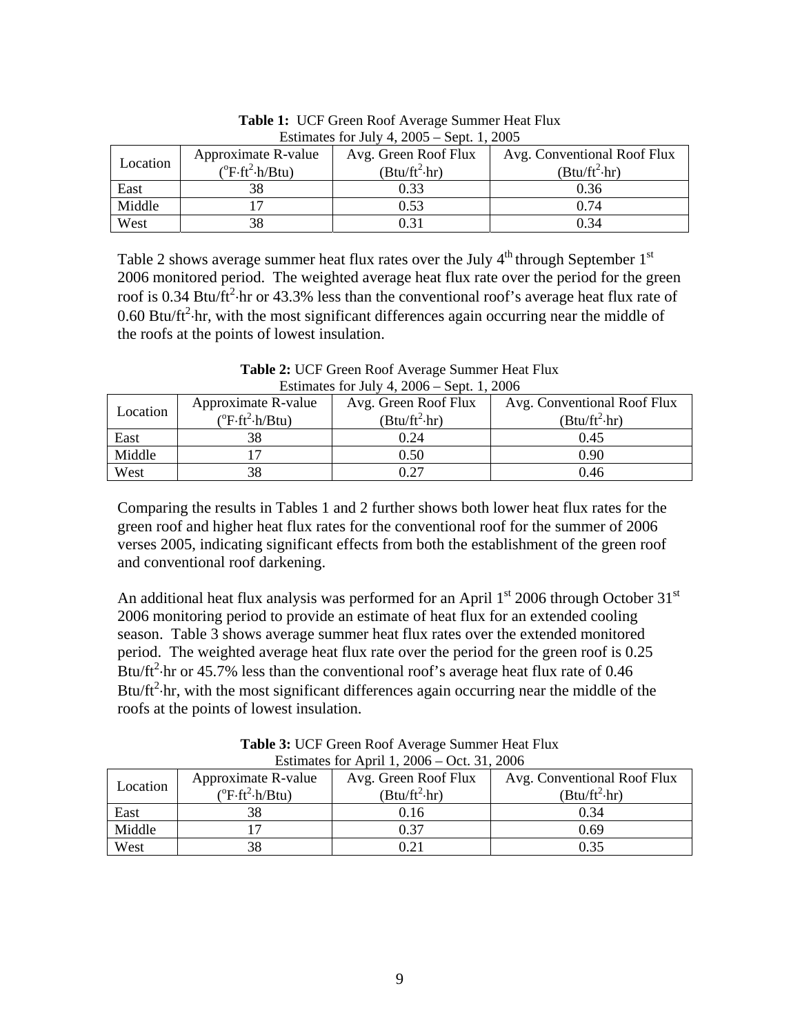| ESUTTRACES TOT JULY 4, $\angle 00J = \angle 00L$ , 1, $\angle 00J$ |                                                           |                                              |                                                     |  |  |  |
|--------------------------------------------------------------------|-----------------------------------------------------------|----------------------------------------------|-----------------------------------------------------|--|--|--|
| Location                                                           | Approximate R-value<br>$(^{\circ}F\cdot ft^2\cdot h/Btu)$ | Avg. Green Roof Flux<br>$(Btu/ft^2\cdot hr)$ | Avg. Conventional Roof Flux<br>$(Btu/ft^2\cdot hr)$ |  |  |  |
| East                                                               |                                                           | 0.33                                         | 0.36                                                |  |  |  |
| Middle                                                             |                                                           | 0.53                                         | 0.74                                                |  |  |  |
| West                                                               |                                                           | 0.31                                         | 0.34                                                |  |  |  |

**Table 1:** UCF Green Roof Average Summer Heat Flux Estimates for July  $4, 2005$  Sept. 1, 2005

Table 2 shows average summer heat flux rates over the July  $4<sup>th</sup>$  through September  $1<sup>st</sup>$ 2006 monitored period. The weighted average heat flux rate over the period for the green roof is 0.34 Btu/ft<sup>2</sup> $\cdot$ hr or 43.3% less than the conventional roof's average heat flux rate of 0.60 Btu/ft<sup>2</sup> $\cdot$ hr, with the most significant differences again occurring near the middle of the roofs at the points of lowest insulation.

| Estimates for July 4, $2006 -$ Sept. 1, 2006 |                                    |                      |                             |  |  |  |
|----------------------------------------------|------------------------------------|----------------------|-----------------------------|--|--|--|
| Location                                     | Approximate R-value                | Avg. Green Roof Flux | Avg. Conventional Roof Flux |  |  |  |
|                                              | $(^{\circ}F\cdot ft^2\cdot h/Btu)$ | $(Btu/ft^2\cdot hr)$ | $(Btu/ft^2\cdot hr)$        |  |  |  |
| East                                         | 38                                 | 0.24                 | 0.45                        |  |  |  |
| Middle                                       |                                    | 0.50                 | 0.90                        |  |  |  |
| West                                         | 38                                 | 0.27                 | 0.46                        |  |  |  |

**Table 2:** UCF Green Roof Average Summer Heat Flux Estimates for July 4, 2006 – Sept. 1, 2006

Comparing the results in Tables 1 and 2 further shows both lower heat flux rates for the green roof and higher heat flux rates for the conventional roof for the summer of 2006 verses 2005, indicating significant effects from both the establishment of the green roof and conventional roof darkening.

An additional heat flux analysis was performed for an April  $1<sup>st</sup>$  2006 through October 31 $<sup>st</sup>$ </sup> 2006 monitoring period to provide an estimate of heat flux for an extended cooling season. Table 3 shows average summer heat flux rates over the extended monitored period. The weighted average heat flux rate over the period for the green roof is 0.25 Btu/ $\text{ft}^2$  hr or 45.7% less than the conventional roof's average heat flux rate of 0.46 Btu/ $ft^2$ ·hr, with the most significant differences again occurring near the middle of the roofs at the points of lowest insulation.

| ESUMARIES TOP APPLE 1, $2000 - \text{OCL}$ , $31, 2000$ |                                      |                      |                             |  |  |  |
|---------------------------------------------------------|--------------------------------------|----------------------|-----------------------------|--|--|--|
| Location                                                | Approximate R-value                  | Avg. Green Roof Flux | Avg. Conventional Roof Flux |  |  |  |
|                                                         | $(^{\circ}F \cdot ft^2 \cdot h/Btu)$ | $(Btu/ft^2\cdot hr)$ | $(Btu/ft^2\cdot hr)$        |  |  |  |
| East                                                    | 38                                   | 0.16                 | 0.34                        |  |  |  |
| Middle                                                  |                                      | 0.37                 | 0.69                        |  |  |  |
| West                                                    | 38                                   | 21                   | 0.35                        |  |  |  |

**Table 3:** UCF Green Roof Average Summer Heat Flux Estimates for  $\Lambda$ pril 1, 2006 – Oct. 31, 2006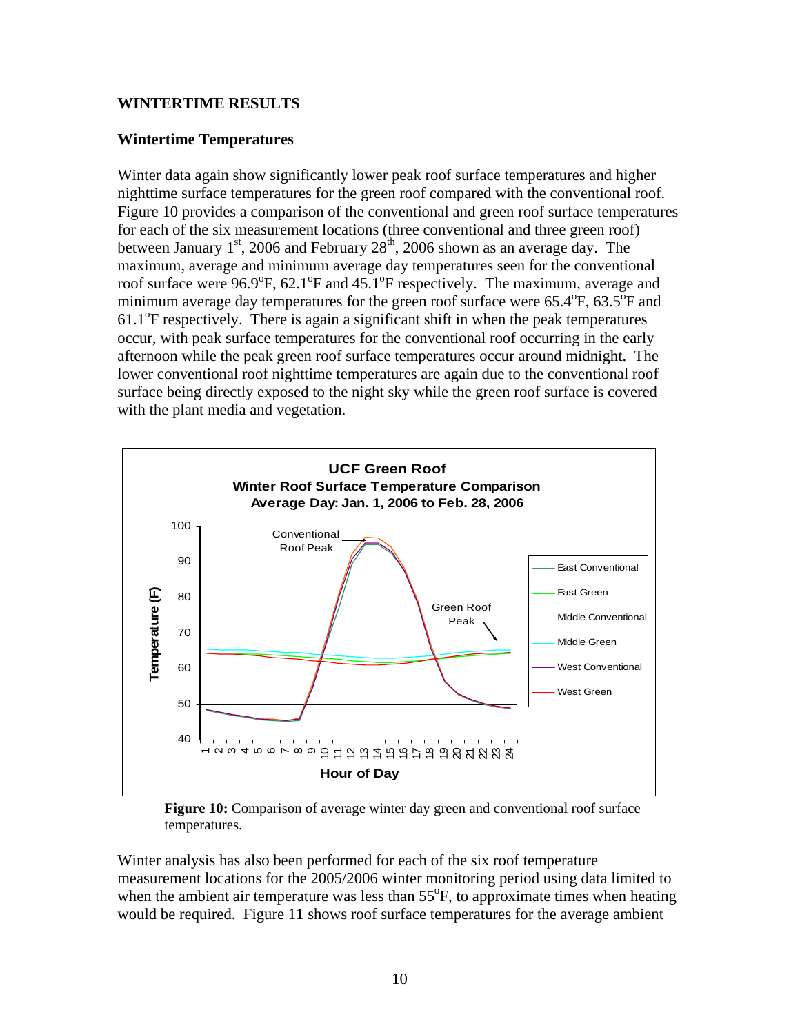## **WINTERTIME RESULTS**

## **Wintertime Temperatures**

Winter data again show significantly lower peak roof surface temperatures and higher nighttime surface temperatures for the green roof compared with the conventional roof. Figure 10 provides a comparison of the conventional and green roof surface temperatures for each of the six measurement locations (three conventional and three green roof) between January  $1<sup>st</sup>$ , 2006 and February  $28<sup>th</sup>$ , 2006 shown as an average day. The maximum, average and minimum average day temperatures seen for the conventional roof surface were  $96.9^{\circ}$ F,  $62.1^{\circ}$ F and  $45.1^{\circ}$ F respectively. The maximum, average and minimum average day temperatures for the green roof surface were  $65.4^{\circ}$ F,  $63.5^{\circ}$ F and 61.1<sup>o</sup>F respectively. There is again a significant shift in when the peak temperatures occur, with peak surface temperatures for the conventional roof occurring in the early afternoon while the peak green roof surface temperatures occur around midnight. The lower conventional roof nighttime temperatures are again due to the conventional roof surface being directly exposed to the night sky while the green roof surface is covered with the plant media and vegetation.



**Figure 10:** Comparison of average winter day green and conventional roof surface temperatures.

Winter analysis has also been performed for each of the six roof temperature measurement locations for the 2005/2006 winter monitoring period using data limited to when the ambient air temperature was less than  $55^{\circ}$ F, to approximate times when heating would be required. Figure 11 shows roof surface temperatures for the average ambient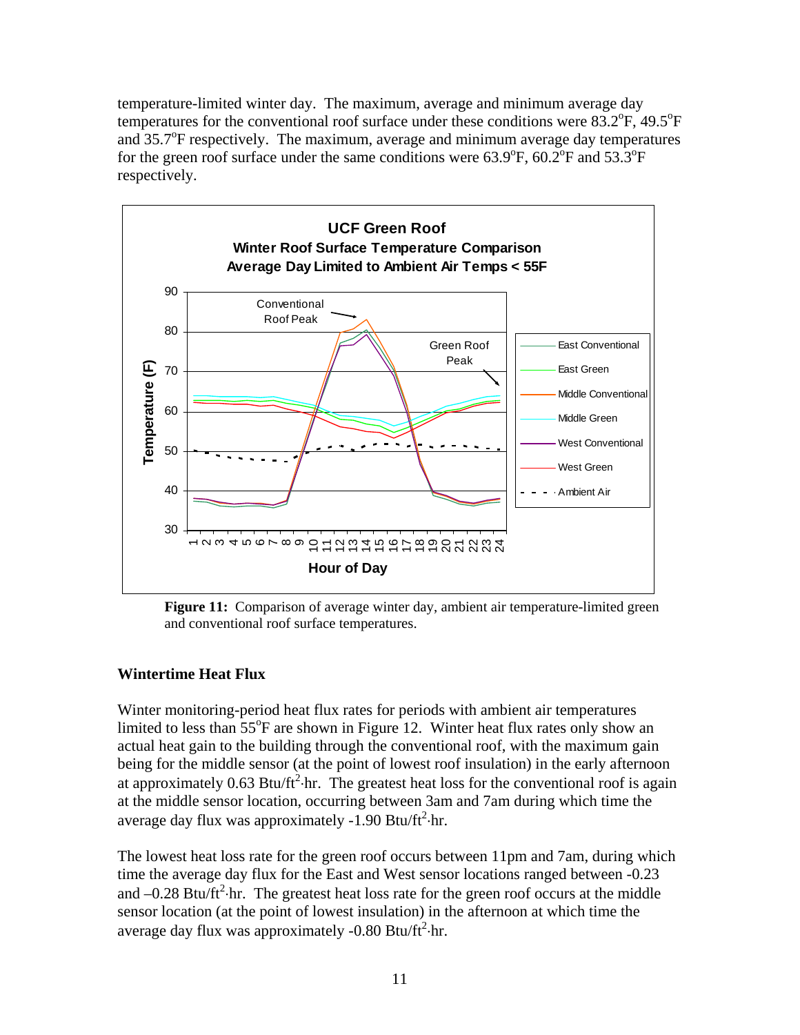temperature-limited winter day. The maximum, average and minimum average day temperatures for the conventional roof surface under these conditions were  $83.2^{\circ}F$ ,  $49.5^{\circ}F$ and  $35.7^{\circ}$ F respectively. The maximum, average and minimum average day temperatures for the green roof surface under the same conditions were  $63.9^{\circ}$ F,  $60.2^{\circ}$ F and  $53.3^{\circ}$ F respectively.



**Figure 11:** Comparison of average winter day, ambient air temperature-limited green and conventional roof surface temperatures.

### **Wintertime Heat Flux**

Winter monitoring-period heat flux rates for periods with ambient air temperatures limited to less than  $55^{\circ}$ F are shown in Figure 12. Winter heat flux rates only show an actual heat gain to the building through the conventional roof, with the maximum gain being for the middle sensor (at the point of lowest roof insulation) in the early afternoon at approximately 0.63 Btu/ft<sup>2</sup> $\cdot$ hr. The greatest heat loss for the conventional roof is again at the middle sensor location, occurring between 3am and 7am during which time the average day flux was approximately  $-1.90$  Btu/ft<sup>2</sup> $\cdot$ hr.

The lowest heat loss rate for the green roof occurs between 11pm and 7am, during which time the average day flux for the East and West sensor locations ranged between -0.23 and  $-0.28$  Btu/ft<sup>2</sup> $\cdot$ hr. The greatest heat loss rate for the green roof occurs at the middle sensor location (at the point of lowest insulation) in the afternoon at which time the average day flux was approximately  $-0.80$  Btu/ft<sup>2</sup> $\cdot$ hr.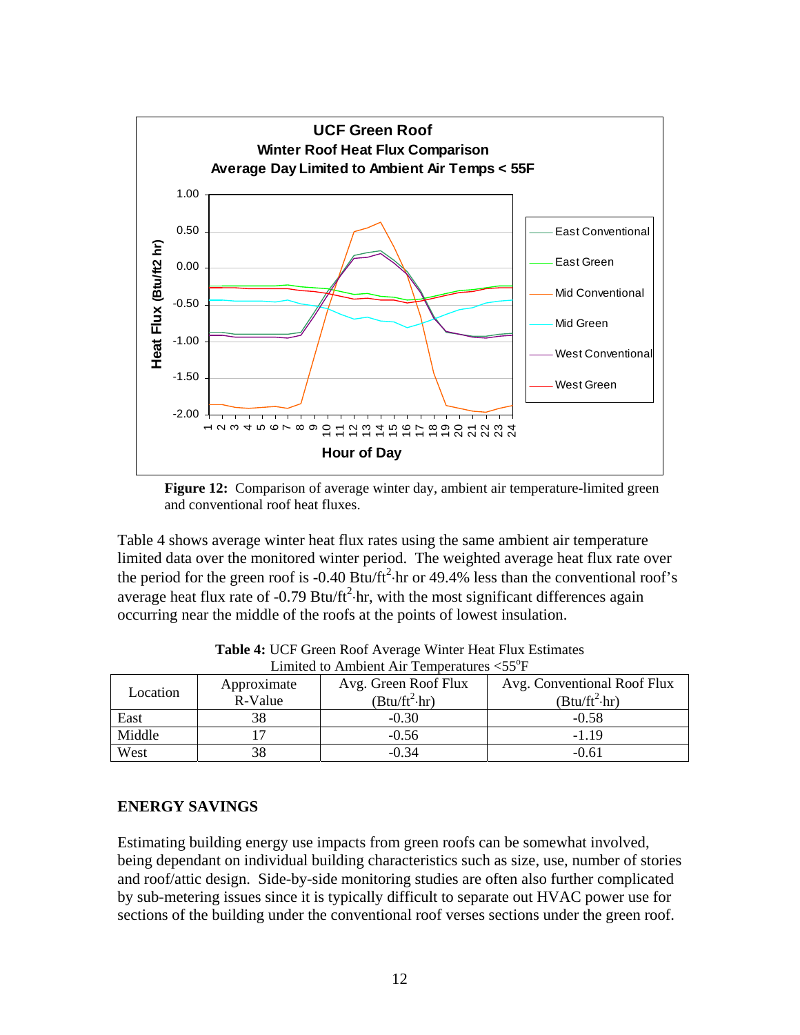

**Figure 12:** Comparison of average winter day, ambient air temperature-limited green and conventional roof heat fluxes.

Table 4 shows average winter heat flux rates using the same ambient air temperature limited data over the monitored winter period. The weighted average heat flux rate over the period for the green roof is -0.40 Btu/ft<sup>2</sup> $\cdot$ hr or 49.4% less than the conventional roof's average heat flux rate of  $-0.79$  Btu/ft<sup>2</sup> $\cdot$ hr, with the most significant differences again occurring near the middle of the roofs at the points of lowest insulation.

| Location | Approximate<br>R-Value | Avg. Green Roof Flux<br>$(Btu/ft^2\cdot hr)$ | Avg. Conventional Roof Flux<br>$(Btu/ft^2\cdot hr)$ |  |  |  |
|----------|------------------------|----------------------------------------------|-----------------------------------------------------|--|--|--|
|          |                        |                                              |                                                     |  |  |  |
| East     |                        | $-0.30$                                      | $-0.58$                                             |  |  |  |
| Middle   |                        | $-0.56$                                      | $-1.19$                                             |  |  |  |
| West     |                        | $-0.34$                                      | -0.61                                               |  |  |  |

**Table 4:** UCF Green Roof Average Winter Heat Flux Estimates Limited to Ambient Air Temperatures  $<$  55 $\mathrm{^{\circ}F}$ 

## **ENERGY SAVINGS**

Estimating building energy use impacts from green roofs can be somewhat involved, being dependant on individual building characteristics such as size, use, number of stories and roof/attic design. Side-by-side monitoring studies are often also further complicated by sub-metering issues since it is typically difficult to separate out HVAC power use for sections of the building under the conventional roof verses sections under the green roof.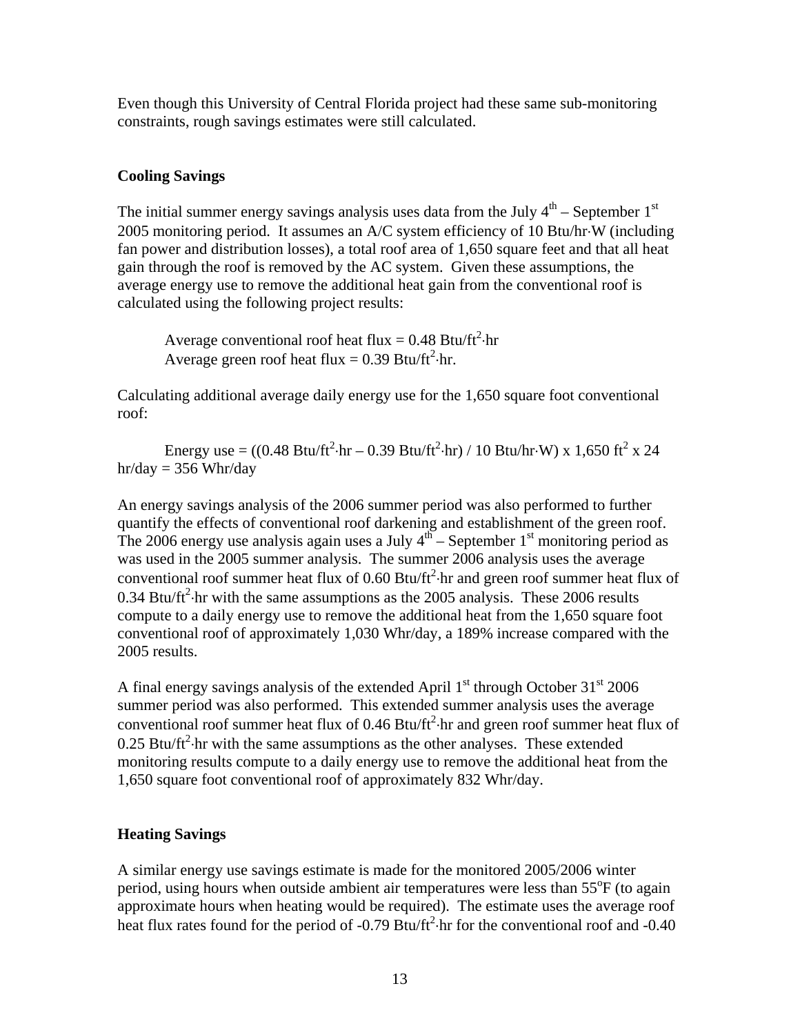Even though this University of Central Florida project had these same sub-monitoring constraints, rough savings estimates were still calculated.

## **Cooling Savings**

The initial summer energy savings analysis uses data from the July  $4<sup>th</sup>$  – September 1<sup>st</sup> 2005 monitoring period. It assumes an A/C system efficiency of 10 Btu/hr⋅W (including fan power and distribution losses), a total roof area of 1,650 square feet and that all heat gain through the roof is removed by the AC system. Given these assumptions, the average energy use to remove the additional heat gain from the conventional roof is calculated using the following project results:

Average conventional roof heat flux =  $0.48$  Btu/ft<sup>2</sup> $\cdot$ hr Average green roof heat flux =  $0.39$  Btu/ft<sup>2</sup>·hr.

Calculating additional average daily energy use for the 1,650 square foot conventional roof:

Energy use =  $((0.48 \text{ Btu/ft}^2 \cdot \text{hr} - 0.39 \text{ Btu/ft}^2 \cdot \text{hr}) / 10 \text{ Btu/hr} \cdot \text{W}) \times 1,650 \text{ ft}^2 \times 24$ hr/day =  $356$  Whr/day

An energy savings analysis of the 2006 summer period was also performed to further quantify the effects of conventional roof darkening and establishment of the green roof. The 2006 energy use analysis again uses a July  $4^{th}$  – September 1<sup>st</sup> monitoring period as was used in the 2005 summer analysis. The summer 2006 analysis uses the average conventional roof summer heat flux of  $0.60$  Btu/ft<sup>2</sup> $\cdot$ hr and green roof summer heat flux of 0.34 Btu/ft<sup>2</sup> $\cdot$ hr with the same assumptions as the 2005 analysis. These 2006 results compute to a daily energy use to remove the additional heat from the 1,650 square foot conventional roof of approximately 1,030 Whr/day, a 189% increase compared with the 2005 results.

A final energy savings analysis of the extended April  $1<sup>st</sup>$  through October  $31<sup>st</sup>$  2006 summer period was also performed. This extended summer analysis uses the average conventional roof summer heat flux of 0.46 Btu/ft<sup>2</sup> $\cdot$ hr and green roof summer heat flux of  $0.25$  Btu/ft<sup>2</sup> hr with the same assumptions as the other analyses. These extended monitoring results compute to a daily energy use to remove the additional heat from the 1,650 square foot conventional roof of approximately 832 Whr/day.

## **Heating Savings**

A similar energy use savings estimate is made for the monitored 2005/2006 winter period, using hours when outside ambient air temperatures were less than  $55^{\circ}$ F (to again approximate hours when heating would be required). The estimate uses the average roof heat flux rates found for the period of -0.79 Btu/ft<sup>2</sup> $\cdot$ hr for the conventional roof and -0.40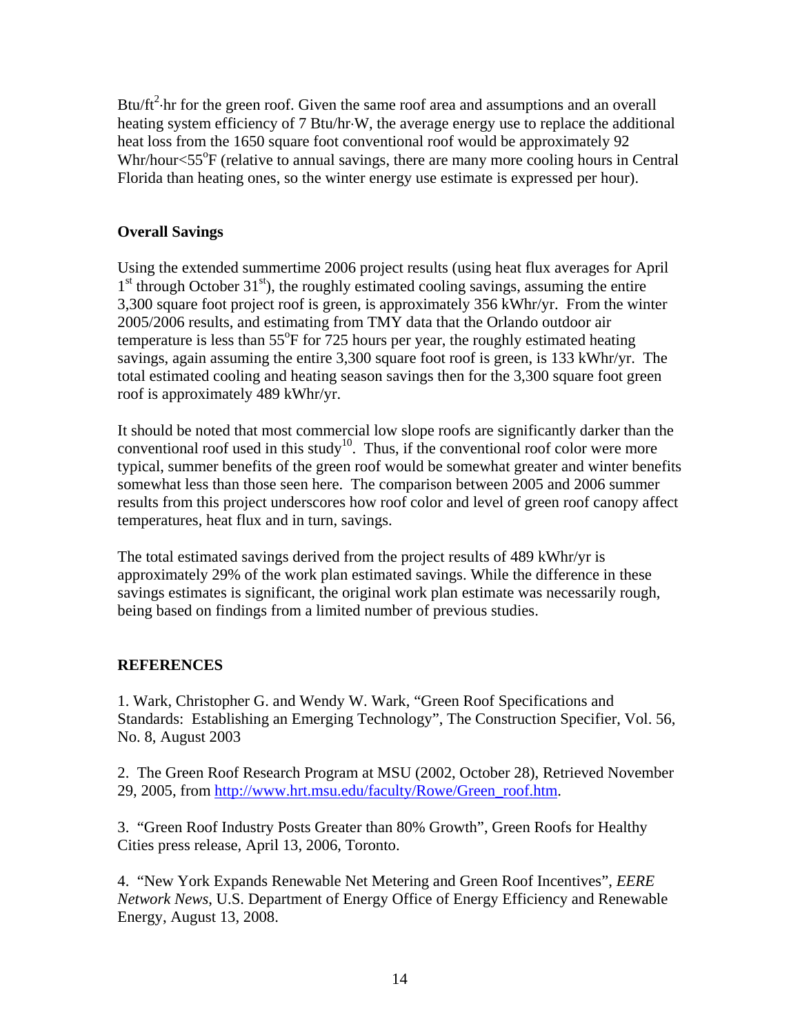Btu/ $ft^2$  hr for the green roof. Given the same roof area and assumptions and an overall heating system efficiency of 7 Btu/hr⋅W, the average energy use to replace the additional heat loss from the 1650 square foot conventional roof would be approximately 92 Whr/hour<55°F (relative to annual savings, there are many more cooling hours in Central Florida than heating ones, so the winter energy use estimate is expressed per hour).

## **Overall Savings**

Using the extended summertime 2006 project results (using heat flux averages for April  $1<sup>st</sup>$  through October 31 $<sup>st</sup>$ ), the roughly estimated cooling savings, assuming the entire</sup> 3,300 square foot project roof is green, is approximately 356 kWhr/yr. From the winter 2005/2006 results, and estimating from TMY data that the Orlando outdoor air temperature is less than  $55^{\circ}$ F for 725 hours per year, the roughly estimated heating savings, again assuming the entire 3,300 square foot roof is green, is 133 kWhr/yr. The total estimated cooling and heating season savings then for the 3,300 square foot green roof is approximately 489 kWhr/yr.

It should be noted that most commercial low slope roofs are significantly darker than the conventional roof used in this study<sup>10</sup>. Thus, if the conventional roof color were more typical, summer benefits of the green roof would be somewhat greater and winter benefits somewhat less than those seen here. The comparison between 2005 and 2006 summer results from this project underscores how roof color and level of green roof canopy affect temperatures, heat flux and in turn, savings.

The total estimated savings derived from the project results of 489 kWhr/yr is approximately 29% of the work plan estimated savings. While the difference in these savings estimates is significant, the original work plan estimate was necessarily rough, being based on findings from a limited number of previous studies.

## **REFERENCES**

1. Wark, Christopher G. and Wendy W. Wark, "Green Roof Specifications and Standards: Establishing an Emerging Technology", The Construction Specifier, Vol. 56, No. 8, August 2003

2. The Green Roof Research Program at MSU (2002, October 28), Retrieved November 29, 2005, from http://www.hrt.msu.edu/faculty/Rowe/Green\_roof.htm.

3. "Green Roof Industry Posts Greater than 80% Growth", Green Roofs for Healthy Cities press release, April 13, 2006, Toronto.

4. "New York Expands Renewable Net Metering and Green Roof Incentives", *EERE Network News*, U.S. Department of Energy Office of Energy Efficiency and Renewable Energy, August 13, 2008.